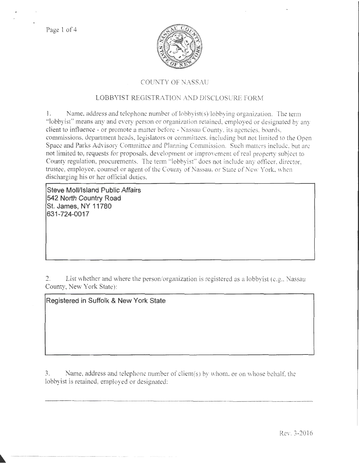Page 1 of 4



## COUNTY OF NASSAU

# LOBBYIST REGISTRATION AND DISCLOSURE FORM

1. Name. address and telephone number of lobbyist(s)/lobbying organization. The term "lobbyist'' means any and every person or organization retained, employed or designated by any client to influence- or promote a matter before- Nassau County. its agencies. boards. commissions, department heads, legislators or committees, including but not limited to the Open Space and Parks Advisory Committee and Planning Commission. Such matters include, but are not limited to, requests for proposals. development or improvement of real property subject to County regulation, procurements. The term "lobbyist" does not include any officer, director, trustee, employee, counsel or agent of the County of Nassau, or State of New York, when discharging his or her official duties.

**Steve Moll/Island Public Affairs 542 North Country Road St. James, NY 11780 631-724-0017** 

2. List whether and where the person/organization is registered as a lobbyist (e.g., Nassau County, New York State):

**Registered in Suffolk & New York State** 

3. Name, address and telephone number of client(s) by whom. or on vvhose behalf: the lobbyist is retained, employed or designated: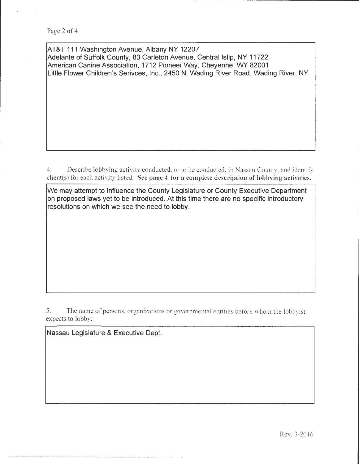AT&T 111 Washington Avenue, Albany NY 12207 Adelante of Suffolk County, 83 Carleton Avenue, Central Islip, NY 11722 American Canine Association, 1712 Pioneer Way, Cheyenne, WY 82001 Little Flower Children's Serivces, Inc., 2450 N. Wading River Road, Wading River, NY

4. Describe lobbying activity conducted, or to be conducted, in Nassau County, and identify client(s) for each activity listed. See page 4 for a complete description of Jobbying activities.

We may attempt to influence the County Legislature or County Executive Department on proposed laws yet to be introduced. At this time there are no specific introductory resolutions on which we see the need to lobby.

5. The name of persons, organizations or governmental entities before whom the lobbyist expects to lobby:

Nassau Legislature & Executive Dept.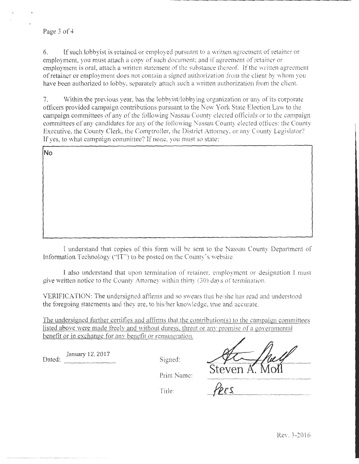### Page 3 of 4

6. If such lobbyist is retained or employed pursuant to a written agreement of retainer or employment, you must attach a copy of such document; and if agreement of retainer or employment is oral, attach a written statement of the substance thereof. If the written agreement of retainer or employment does not contain a signed authorization from the client by whom you have been authorized to lobby, separately attach such a written authorization from the client.

7. Within the previous year, has the lobbyistilobbying organization or any of its corporate officers provided campaign contributions pursuant to the New York State Election Law to the campaign committees of any of the following Nassau County elected officials or to the campaign committees of any candidates tor any of the following Nassau County elected otflces: the County Executive, the County Clerk, the Comptroller, the District Attorney, or any County Legislator? If yes, to what campaign committee? If none. you must so state:

No

I understand that copies of this form will be sent to the Nassau County Department of Information Technology ("IT") to be posted on the County's website.

I also understand that upon termination of retainer, employment or designation l must give written notice to the County Attorney within thirty (30) days of termination.

VERIFICATION: The undersigned affirms and so swears that he/she has read and understood the foregoing statements and they are, to his/her knovvledge, true and accurate.

The undersigned further certifies and affirms that the contribution(s) to the campaign committees listed above were made freely and without duress, threat or any promise of a governmental benefit or in exchange for anv benefit or remuneration.

Dated: **January 12, 2017** Signed:

Steven A

Print Name:

Title: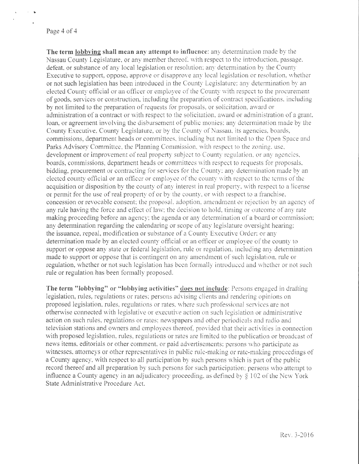The term lobbying shall mean any attempt to influence: any determination made by the Nassau County Legislature, or any member thereof, with respect to the introduction, passage. defeat, or substance of any local legislation or resolution; any determination by the County Executive to support, oppose, approve or disapprove any local legislation or resolution, whether or not such legislation has been introduced in the County Legislature; any determination by an elected County official or an officer or employee of the County with respect to the procurement of goods, services or construction, including the preparation of contract specifications. including by not limited to the preparation of requests for proposals, or solicitation, a\vard or administration of a contract or with respect to the solicitation, award or administration of a grant, loan, or agreement involving the disbursement of public monies: any determination made by the County Executive, County Legislature, or by the County of Nassau, its agencies, boards, commissions, department heads or committees, including hut not limited to the Open Space and Parks Advisory Committee, the Planning Commission, with respect to the zoning. use, development or improvement of real property subject to County regulation, or any agencies, boards, commissions, department heads or committees with respect to requests for proposals. bidding, procurement or contracting for services for the County; any determination made by an elected county official or an officer or employee of the county with respect to the terms of the acquisition or disposition by the county of any interest in real property, with respect to a license or permit for the use of real property of or by the county, or \vi th respect to a franchise, concession or revocable consent; the proposal, adoption, amendment or rejection by an agency of any rule having the force and effect of law; the decision to hold, timing or outcome of any rate making proceeding before an agency; the agenda or any determination of a board or commission; any determination regarding the calendaring or scope of any legislature oversight hearing; the issuance, repeal. modification or substance of a County Executive Order: or any determination made by an elected county official or an officer or employee of the county to support or oppose any state or federal legislation, rule or regulation, including any determination made to support or oppose that is contingent on any amendment of such legislation, rule or regulation, whether or not such legislation has been formally introduced and whether or not such rule or regulation has been formally proposed.

The term "lobbying" or "lobbying activities" does not include: Persons engaged in drafting legislation. rules, regulations or rates; persons advising clients and rendering opinions on proposed legislation, rules, regulations or rates, where such professional services are not otherwise connected with legislative or executive action on such legislation or administrative action on such rules, regulations or rates; newspapers and other periodicals and radio and television stations and owners and employees thereof, provided that their activities in connection with proposed legislation, rules, regulations or rates are limited to the publication or broadcast of news items, editorials or other comment, or paid advertisements; persons who participate as witnesses. attorneys or other representatives in public rule-making or rate-making proceedings of a County agency, with respect to all participation by such persons which is part of the public record thereof and all preparation by such persons for such participation; persons who attempt to influence a County agency in an adjudicatory proceeding, as defined by  $\S 102$  of the New York State Administrative Procedure Act.